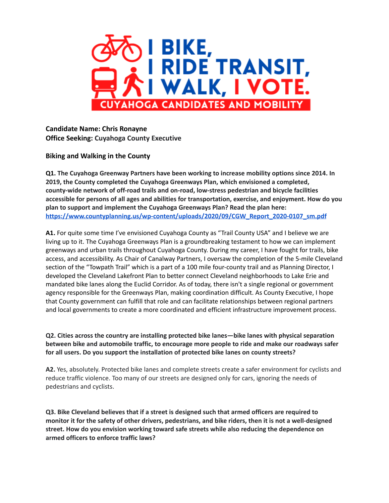

**Candidate Name: Chris Ronayne Office Seeking: Cuyahoga County Executive**

**Biking and Walking in the County**

**Q1. The Cuyahoga Greenway Partners have been working to increase mobility options since 2014. In 2019, the County completed the Cuyahoga Greenways Plan, which envisioned a completed, county-wide network of off-road trails and on-road, low-stress pedestrian and bicycle facilities accessible for persons of all ages and abilities for transportation, exercise, and enjoyment. How do you plan to support and implement the Cuyahoga Greenways Plan? Read the plan here: [https://www.countyplanning.us/wp-content/uploads/2020/09/CGW\\_Report\\_2020-0107\\_sm.pdf](https://www.countyplanning.us/wp-content/uploads/2020/09/CGW_Report_2020-0107_sm.pdf)**

**A1.** For quite some time I've envisioned Cuyahoga County as "Trail County USA" and I believe we are living up to it. The Cuyahoga Greenways Plan is a groundbreaking testament to how we can implement greenways and urban trails throughout Cuyahoga County. During my career, I have fought for trails, bike access, and accessibility. As Chair of Canalway Partners, I oversaw the completion of the 5-mile Cleveland section of the "Towpath Trail" which is a part of a 100 mile four-county trail and as Planning Director, I developed the Cleveland Lakefront Plan to better connect Cleveland neighborhoods to Lake Erie and mandated bike lanes along the Euclid Corridor. As of today, there isn't a single regional or government agency responsible for the Greenways Plan, making coordination difficult. As County Executive, I hope that County government can fulfill that role and can facilitate relationships between regional partners and local governments to create a more coordinated and efficient infrastructure improvement process.

**Q2. Cities across the country are installing protected bike lanes—bike lanes with physical separation between bike and automobile traffic, to encourage more people to ride and make our roadways safer for all users. Do you support the installation of protected bike lanes on county streets?**

**A2.** Yes, absolutely. Protected bike lanes and complete streets create a safer environment for cyclists and reduce traffic violence. Too many of our streets are designed only for cars, ignoring the needs of pedestrians and cyclists.

**Q3. Bike Cleveland believes that if a street is designed such that armed officers are required to** monitor it for the safety of other drivers, pedestrians, and bike riders, then it is not a well-designed **street. How do you envision working toward safe streets while also reducing the dependence on armed officers to enforce traffic laws?**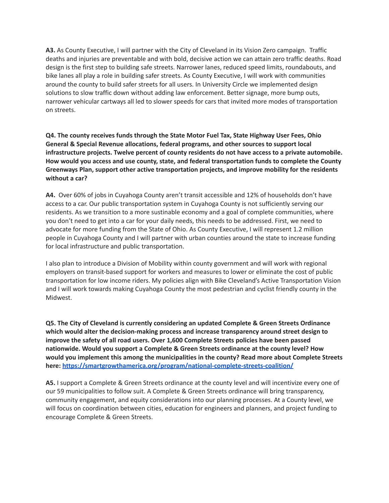**A3.** As County Executive, I will partner with the City of Cleveland in its Vision Zero campaign. Traffic deaths and injuries are preventable and with bold, decisive action we can attain zero traffic deaths. Road design is the first step to building safe streets. Narrower lanes, reduced speed limits, roundabouts, and bike lanes all play a role in building safer streets. As County Executive, I will work with communities around the county to build safer streets for all users. In University Circle we implemented design solutions to slow traffic down without adding law enforcement. Better signage, more bump outs, narrower vehicular cartways all led to slower speeds for cars that invited more modes of transportation on streets.

**Q4. The county receives funds through the State Motor Fuel Tax, State Highway User Fees, Ohio General & Special Revenue allocations, federal programs, and other sources to support local infrastructure projects. Twelve percent of county residents do not have access to a private automobile. How would you access and use county, state, and federal transportation funds to complete the County Greenways Plan, support other active transportation projects, and improve mobility for the residents without a car?**

**A4.** Over 60% of jobs in Cuyahoga County aren't transit accessible and 12% of households don't have access to a car. Our public transportation system in Cuyahoga County is not sufficiently serving our residents. As we transition to a more sustinable economy and a goal of complete communities, where you don't need to get into a car for your daily needs, this needs to be addressed. First, we need to advocate for more funding from the State of Ohio. As County Executive, I will represent 1.2 million people in Cuyahoga County and I will partner with urban counties around the state to increase funding for local infrastructure and public transportation.

I also plan to introduce a Division of Mobility within county government and will work with regional employers on transit-based support for workers and measures to lower or eliminate the cost of public transportation for low income riders. My policies align with Bike Cleveland's Active Transportation Vision and I will work towards making Cuyahoga County the most pedestrian and cyclist friendly county in the Midwest.

**Q5. The City of Cleveland is currently considering an updated Complete & Green Streets Ordinance which would alter the decision-making process and increase transparency around street design to improve the safety of all road users. Over 1,600 Complete Streets policies have been passed nationwide. Would you support a Complete & Green Streets ordinance at the county level? How would you implement this among the municipalities in the county? Read more about Complete Streets here: <https://smartgrowthamerica.org/program/national-complete-streets-coalition/>**

**A5.** I support a Complete & Green Streets ordinance at the county level and will incentivize every one of our 59 municipalities to follow suit. A Complete & Green Streets ordinance will bring transparency, community engagement, and equity considerations into our planning processes. At a County level, we will focus on coordination between cities, education for engineers and planners, and project funding to encourage Complete & Green Streets.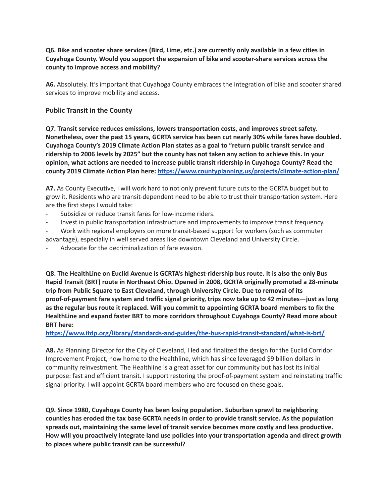## Q6. Bike and scooter share services (Bird, Lime, etc.) are currently only available in a few cities in **Cuyahoga County. Would you support the expansion of bike and scooter-share services across the county to improve access and mobility?**

**A6.** Absolutely. It's important that Cuyahoga County embraces the integration of bike and scooter shared services to improve mobility and access.

## **Public Transit in the County**

**Q7. Transit service reduces emissions, lowers transportation costs, and improves street safety. Nonetheless, over the past 15 years, GCRTA service has been cut nearly 30% while fares have doubled. Cuyahoga County's 2019 Climate Action Plan states as a goal to "return public transit service and** ridership to 2006 levels by 2025" but the county has not taken any action to achieve this. In your **opinion, what actions are needed to increase public transit ridership in Cuyahoga County? Read the county 2019 Climate Action Plan here: <https://www.countyplanning.us/projects/climate-action-plan/>**

**A7.** As County Executive, I will work hard to not only prevent future cuts to the GCRTA budget but to grow it. Residents who are transit-dependent need to be able to trust their transportation system. Here are the first steps I would take:

- Subsidize or reduce transit fares for low-income riders.
- Invest in public transportation infrastructure and improvements to improve transit frequency.
- Work with regional employers on more transit-based support for workers (such as commuter advantage), especially in well served areas like downtown Cleveland and University Circle.
- Advocate for the decriminalization of fare evasion.

**Q8. The HealthLine on Euclid Avenue is GCRTA's highest-ridership bus route. It is also the only Bus Rapid Transit (BRT) route in Northeast Ohio. Opened in 2008, GCRTA originally promoted a 28-minute trip from Public Square to East Cleveland, through University Circle. Due to removal of its proof-of-payment fare system and traffic signal priority, trips now take up to 42 minutes—just as long as the regular bus route it replaced. Will you commit to appointing GCRTA board members to fix the HealthLine and expand faster BRT to more corridors throughout Cuyahoga County? Read more about BRT here:**

## **<https://www.itdp.org/library/standards-and-guides/the-bus-rapid-transit-standard/what-is-brt/>**

**A8.** As Planning Director for the City of Cleveland, I led and finalized the design for the Euclid Corridor Improvement Project, now home to the Healthline, which has since leveraged \$9 billion dollars in community reinvestment. The Healthline is a great asset for our community but has lost its initial purpose: fast and efficient transit. I support restoring the proof-of-payment system and reinstating traffic signal priority. I will appoint GCRTA board members who are focused on these goals.

**Q9. Since 1980, Cuyahoga County has been losing population. Suburban sprawl to neighboring counties has eroded the tax base GCRTA needs in order to provide transit service. As the population spreads out, maintaining the same level of transit service becomes more costly and less productive. How will you proactively integrate land use policies into your transportation agenda and direct growth to places where public transit can be successful?**